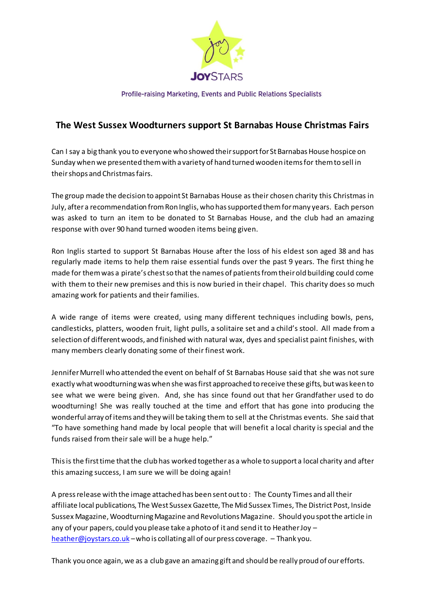

Profile-raising Marketing, Events and Public Relations Specialists

## **The West Sussex Woodturners support St Barnabas House Christmas Fairs**

Can I say a big thank you to everyone who showed their support for St Barnabas House hospice on Sunday when we presented them with a variety of hand turned wooden items for them to sell in their shops and Christmas fairs.

The group made the decision to appoint St Barnabas House as their chosen charity this Christmas in July, after a recommendation from Ron Inglis, who has supported them for many years. Each person was asked to turn an item to be donated to St Barnabas House, and the club had an amazing response with over 90 hand turned wooden items being given.

Ron Inglis started to support St Barnabas House after the loss of his eldest son aged 38 and has regularly made items to help them raise essential funds over the past 9 years. The first thing he made for them was a pirate's chest so that the names of patients from their old building could come with them to their new premises and this is now buried in their chapel. This charity does so much amazing work for patients and their families.

A wide range of items were created, using many different techniques including bowls, pens, candlesticks, platters, wooden fruit, light pulls, a solitaire set and a child's stool. All made from a selection of different woods, and finished with natural wax, dyes and specialist paint finishes, with many members clearly donating some of their finest work.

Jennifer Murrell who attended the event on behalf of St Barnabas House said that she was not sure exactly what woodturning was when she was first approached to receive these gifts, but was keen to see what we were being given. And, she has since found out that her Grandfather used to do woodturning! She was really touched at the time and effort that has gone into producing the wonderful array of items and they will be taking them to sell at the Christmas events. She said that "To have something hand made by local people that will benefit a local charity is special and the funds raised from their sale will be a huge help."

This is the first time that the club has worked together as a whole to support a local charity and after this amazing success, I am sure we will be doing again!

A press release with the image attached has been sent out to : The County Times and all their affiliate local publications, The West Sussex Gazette, The Mid Sussex Times, The District Post, Inside Sussex Magazine, Woodturning Magazine and Revolutions Magazine. Should you spot the article in any of your papers, could you please take a photo of it and send it to Heather Joy – [heather@joystars.co.uk](mailto:heather@joystars.co.uk) –who is collating all of our press coverage. – Thank you.

Thank you once again, we as a club gave an amazing gift and should be really proud of our efforts.